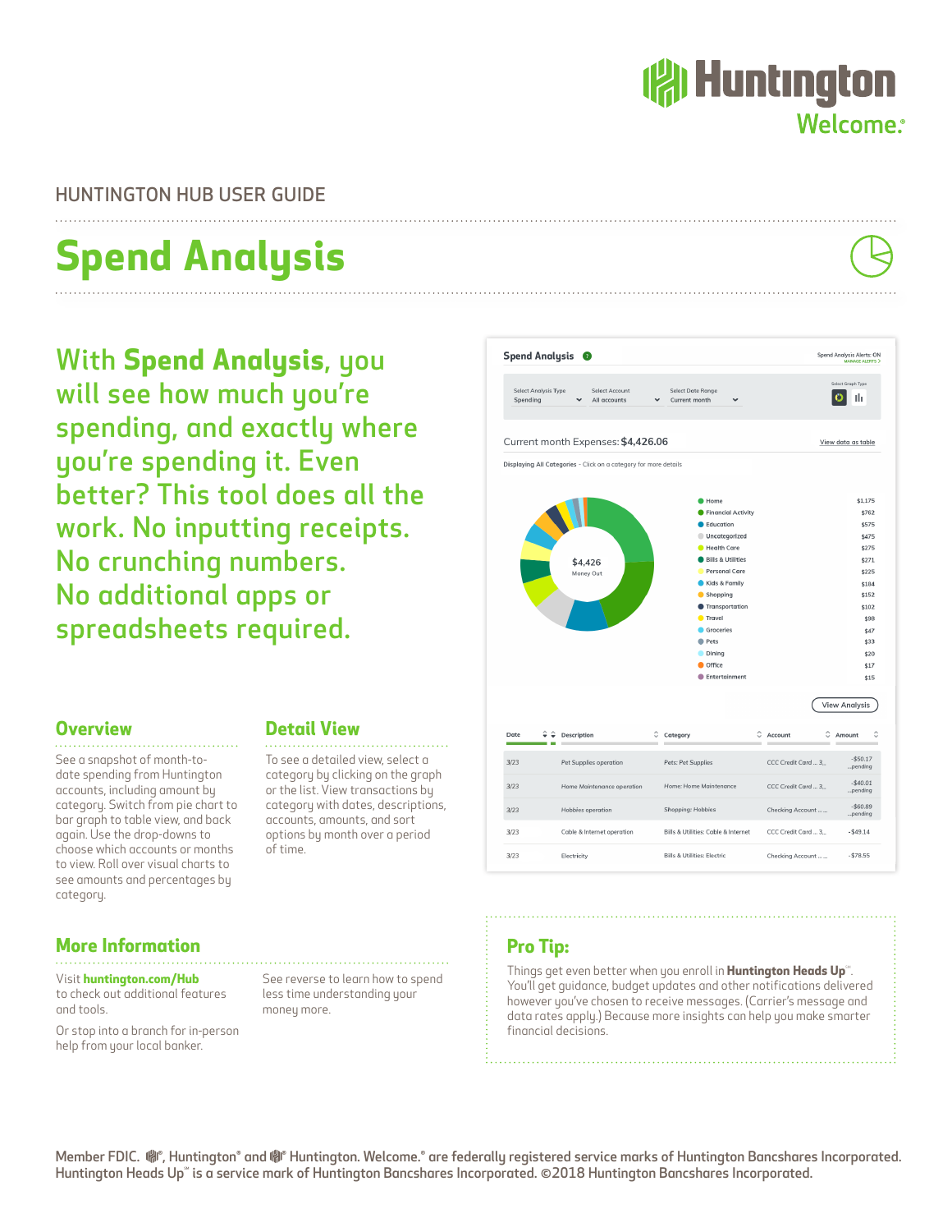

## HUNTINGTON HUB USER GUIDE

## **Spend Analysis**

With **Spend Analysis**, you will see how much you're spending, and exactly where you're spending it. Even better? This tool does all the work. No inputting receipts. No crunching numbers. No additional apps or spreadsheets required.



#### **Overview** <u>. . . . . . . . . . . . . . . .</u>

See a snapshot of month-todate spending from Huntington accounts, including amount by category. Switch from pie chart to bar graph to table view, and back again. Use the drop-downs to choose which accounts or months to view. Roll over visual charts to see amounts and percentages by category.

## **More Information**

Visit **huntington.com/Hub** to check out additional features and tools.

Or stop into a branch for in-person help from your local banker.

#### **Detail View**

To see a detailed view, select a category by clicking on the graph or the list. View transactions by category with dates, descriptions, accounts, amounts, and sort options by month over a period of time.

See reverse to learn how to spend less time understanding your

money more.

## **Pro Tip:**

Things get even better when you enroll in **Huntington Heads Up**®. You'll get guidance, budget updates and other notifications delivered however you've chosen to receive messages. (Carrier's message and data rates apply.) Because more insights can help you make smarter financial decisions.

Member FDIC. (®, Huntington® and (® Huntington. Welcome.® are federally registered service marks of Huntington Bancshares Incorporated. Huntington Heads Up" is a service mark of Huntington Bancshares Incorporated. ©2018 Huntington Bancshares Incorporated.